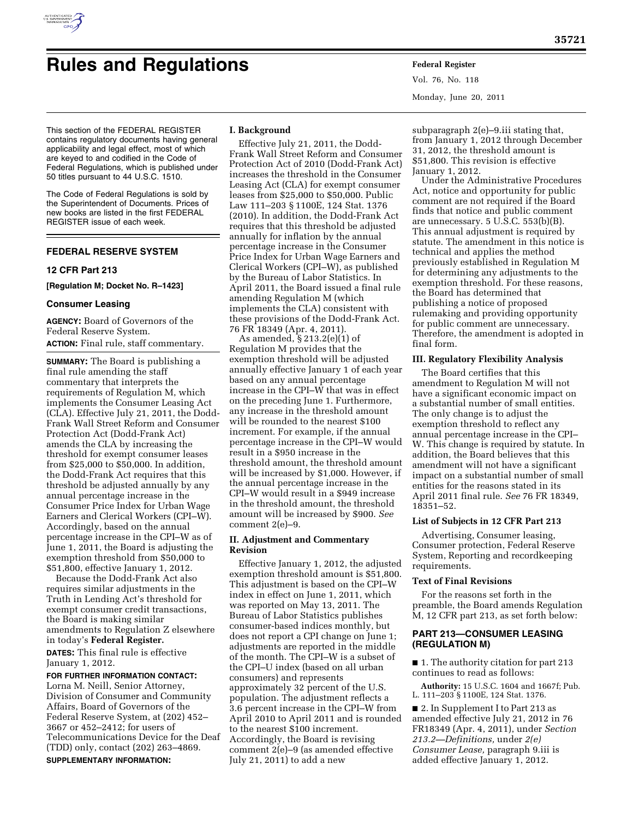

# **Rules and Regulations Federal Register**

Vol. 76, No. 118 Monday, June 20, 2011

This section of the FEDERAL REGISTER contains regulatory documents having general applicability and legal effect, most of which are keyed to and codified in the Code of Federal Regulations, which is published under 50 titles pursuant to 44 U.S.C. 1510.

The Code of Federal Regulations is sold by the Superintendent of Documents. Prices of new books are listed in the first FEDERAL REGISTER issue of each week.

# **FEDERAL RESERVE SYSTEM**

# **12 CFR Part 213**

**[Regulation M; Docket No. R–1423]** 

# **Consumer Leasing**

**AGENCY:** Board of Governors of the Federal Reserve System. **ACTION:** Final rule, staff commentary.

**SUMMARY:** The Board is publishing a final rule amending the staff commentary that interprets the requirements of Regulation M, which implements the Consumer Leasing Act (CLA). Effective July 21, 2011, the Dodd-Frank Wall Street Reform and Consumer Protection Act (Dodd-Frank Act) amends the CLA by increasing the threshold for exempt consumer leases from \$25,000 to \$50,000. In addition, the Dodd-Frank Act requires that this threshold be adjusted annually by any annual percentage increase in the Consumer Price Index for Urban Wage Earners and Clerical Workers (CPI–W). Accordingly, based on the annual percentage increase in the CPI–W as of June 1, 2011, the Board is adjusting the exemption threshold from \$50,000 to \$51,800, effective January 1, 2012.

Because the Dodd-Frank Act also requires similar adjustments in the Truth in Lending Act's threshold for exempt consumer credit transactions, the Board is making similar amendments to Regulation Z elsewhere in today's **Federal Register.** 

**DATES:** This final rule is effective January 1, 2012.

# **FOR FURTHER INFORMATION CONTACT:**

Lorna M. Neill, Senior Attorney, Division of Consumer and Community Affairs, Board of Governors of the Federal Reserve System, at (202) 452– 3667 or 452–2412; for users of Telecommunications Device for the Deaf (TDD) only, contact (202) 263–4869. **SUPPLEMENTARY INFORMATION:** 

# **I. Background**

Effective July 21, 2011, the Dodd-Frank Wall Street Reform and Consumer Protection Act of 2010 (Dodd-Frank Act) increases the threshold in the Consumer Leasing Act (CLA) for exempt consumer leases from \$25,000 to \$50,000. Public Law 111–203 § 1100E, 124 Stat. 1376 (2010). In addition, the Dodd-Frank Act requires that this threshold be adjusted annually for inflation by the annual percentage increase in the Consumer Price Index for Urban Wage Earners and Clerical Workers (CPI–W), as published by the Bureau of Labor Statistics. In April 2011, the Board issued a final rule amending Regulation M (which implements the CLA) consistent with these provisions of the Dodd-Frank Act. 76 FR 18349 (Apr. 4, 2011).

As amended, § 213.2(e)(1) of Regulation M provides that the exemption threshold will be adjusted annually effective January 1 of each year based on any annual percentage increase in the CPI–W that was in effect on the preceding June 1. Furthermore, any increase in the threshold amount will be rounded to the nearest \$100 increment. For example, if the annual percentage increase in the CPI–W would result in a \$950 increase in the threshold amount, the threshold amount will be increased by \$1,000. However, if the annual percentage increase in the CPI–W would result in a \$949 increase in the threshold amount, the threshold amount will be increased by \$900. *See*  comment 2(e)–9.

# **II. Adjustment and Commentary Revision**

Effective January 1, 2012, the adjusted exemption threshold amount is \$51,800. This adjustment is based on the CPI–W index in effect on June 1, 2011, which was reported on May 13, 2011. The Bureau of Labor Statistics publishes consumer-based indices monthly, but does not report a CPI change on June 1; adjustments are reported in the middle of the month. The CPI–W is a subset of the CPI–U index (based on all urban consumers) and represents approximately 32 percent of the U.S. population. The adjustment reflects a 3.6 percent increase in the CPI–W from April 2010 to April 2011 and is rounded to the nearest \$100 increment. Accordingly, the Board is revising comment 2(e)–9 (as amended effective July 21, 2011) to add a new

subparagraph 2(e)–9.iii stating that, from January 1, 2012 through December 31, 2012, the threshold amount is \$51,800. This revision is effective January 1, 2012.

Under the Administrative Procedures Act, notice and opportunity for public comment are not required if the Board finds that notice and public comment are unnecessary. 5 U.S.C. 553(b)(B). This annual adjustment is required by statute. The amendment in this notice is technical and applies the method previously established in Regulation M for determining any adjustments to the exemption threshold. For these reasons, the Board has determined that publishing a notice of proposed rulemaking and providing opportunity for public comment are unnecessary. Therefore, the amendment is adopted in final form.

# **III. Regulatory Flexibility Analysis**

The Board certifies that this amendment to Regulation M will not have a significant economic impact on a substantial number of small entities. The only change is to adjust the exemption threshold to reflect any annual percentage increase in the CPI– W. This change is required by statute. In addition, the Board believes that this amendment will not have a significant impact on a substantial number of small entities for the reasons stated in its April 2011 final rule. *See* 76 FR 18349, 18351–52.

#### **List of Subjects in 12 CFR Part 213**

Advertising, Consumer leasing, Consumer protection, Federal Reserve System, Reporting and recordkeeping requirements.

#### **Text of Final Revisions**

For the reasons set forth in the preamble, the Board amends Regulation M, 12 CFR part 213, as set forth below:

# **PART 213—CONSUMER LEASING (REGULATION M)**

■ 1. The authority citation for part 213 continues to read as follows:

**Authority:** 15 U.S.C. 1604 and 1667f; Pub. L. 111–203 § 1100E, 124 Stat. 1376.

■ 2. In Supplement I to Part 213 as amended effective July 21, 2012 in 76 FR18349 (Apr. 4, 2011), under *Section 213.2—Definitions,* under *2(e) Consumer Lease,* paragraph 9.iii is added effective January 1, 2012.